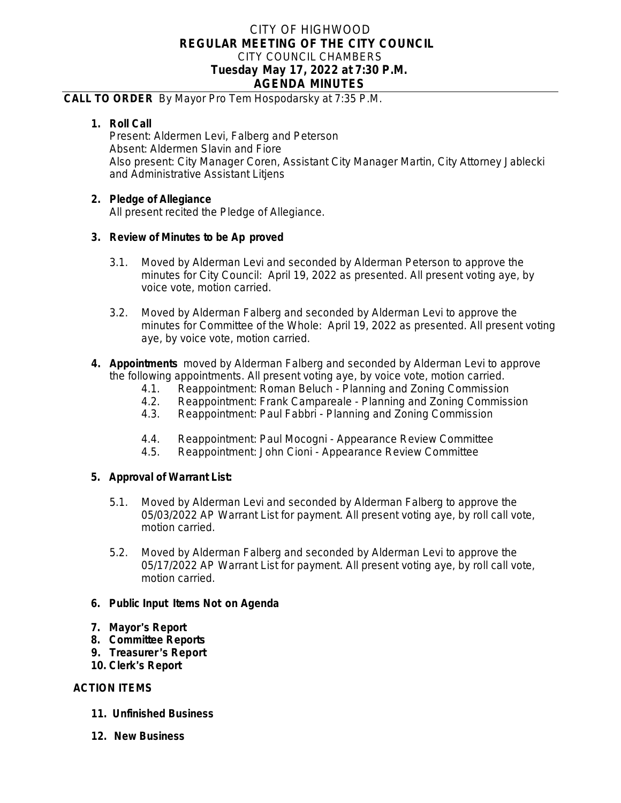# CITY OF HIGHWOOD **REGULAR MEETING OF THE CITY COUNCIL** CITY COUNCIL CHAMBERS **Tuesday May 17, 2022 at 7:30 P.M. AGENDA MINUTES**

#### **CALL TO ORDER** By Mayor Pro Tem Hospodarsky at 7:35 P.M.

## **1. Roll Call**

Present: Aldermen Levi, Falberg and Peterson Absent: Aldermen Slavin and Fiore Also present: City Manager Coren, Assistant City Manager Martin, City Attorney Jablecki and Administrative Assistant Litjens

## **2. Pledge of Allegiance**

All present recited the Pledge of Allegiance.

## **3. Review of Minutes to be Ap proved**

- 3.1. Moved by Alderman Levi and seconded by Alderman Peterson to approve the minutes for City Council: April 19, 2022 as presented. All present voting aye, by voice vote, motion carried.
- 3.2. Moved by Alderman Falberg and seconded by Alderman Levi to approve the minutes for Committee of the Whole: April 19, 2022 as presented. All present voting aye, by voice vote, motion carried.
- **4. Appointments** moved by Alderman Falberg and seconded by Alderman Levi to approve the following appointments. All present voting aye, by voice vote, motion carried.
	- 4.1. Reappointment: Roman Beluch Planning and Zoning Commission<br>4.2. Reappointment: Frank Campareale Planning and Zoning Commiss
	- Reappointment: Frank Campareale Planning and Zoning Commission
	- 4.3. Reappointment: Paul Fabbri Planning and Zoning Commission
	- 4.4. Reappointment: Paul Mocogni Appearance Review Committee<br>4.5. Reappointment: John Cioni Appearance Review Committee
	- 4.5. Reappointment: John Cioni Appearance Review Committee

#### **5. Approval of Warrant List:**

- 5.1. Moved by Alderman Levi and seconded by Alderman Falberg to approve the 05/03/2022 AP Warrant List for payment. All present voting aye, by roll call vote, motion carried.
- 5.2. Moved by Alderman Falberg and seconded by Alderman Levi to approve the 05/17/2022 AP Warrant List for payment. All present voting aye, by roll call vote, motion carried.

#### **6. Public Input Items Not on Agenda**

- **7. Mayor**'**s Report**
- **8. Committee Reports**
- **9. Treasurer** '**s Report**
- **10. Clerk**'**s Report**

## **ACTION ITEMS**

- **11. Unfinished Business**
- **12. New Business**